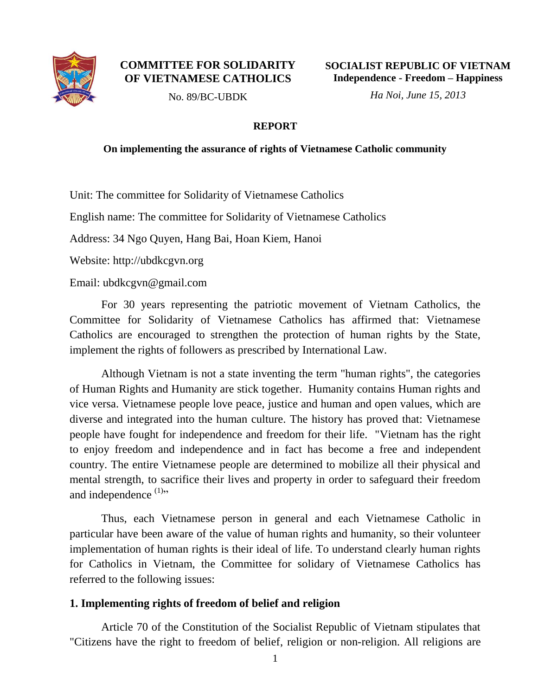

### **COMMITTEE FOR SOLIDARITY OF VIETNAMESE CATHOLICS**

**SOCIALIST REPUBLIC OF VIETNAM Independence - Freedom – Happiness**

No. 89/BC-UBDK

*Ha Noi, June 15, 2013*

### **REPORT**

#### **On implementing the assurance of rights of Vietnamese Catholic community**

Unit: The committee for Solidarity of Vietnamese Catholics

English name: The committee for Solidarity of Vietnamese Catholics

Address: 34 Ngo Quyen, Hang Bai, Hoan Kiem, Hanoi

Website: http://ubdkcgvn.org

Email: ubdkcgvn@gmail.com

For 30 years representing the patriotic movement of Vietnam Catholics, the Committee for Solidarity of Vietnamese Catholics has affirmed that: Vietnamese Catholics are encouraged to strengthen the protection of human rights by the State, implement the rights of followers as prescribed by International Law.

Although Vietnam is not a state inventing the term "human rights", the categories of Human Rights and Humanity are stick together. Humanity contains Human rights and vice versa. Vietnamese people love peace, justice and human and open values, which are diverse and integrated into the human culture. The history has proved that: Vietnamese people have fought for independence and freedom for their life. "Vietnam has the right to enjoy freedom and independence and in fact has become a free and independent country. The entire Vietnamese people are determined to mobilize all their physical and mental strength, to sacrifice their lives and property in order to safeguard their freedom and independence  $(1)$ "

Thus, each Vietnamese person in general and each Vietnamese Catholic in particular have been aware of the value of human rights and humanity, so their volunteer implementation of human rights is their ideal of life. To understand clearly human rights for Catholics in Vietnam, the Committee for solidary of Vietnamese Catholics has referred to the following issues:

## **1. Implementing rights of freedom of belief and religion**

Article 70 of the Constitution of the Socialist Republic of Vietnam stipulates that "Citizens have the right to freedom of belief, religion or non-religion. All religions are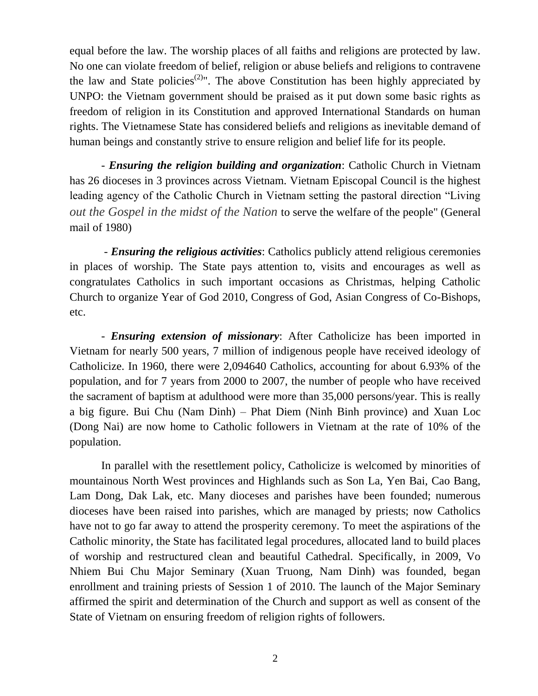equal before the law. The worship places of all faiths and religions are protected by law. No one can violate freedom of belief, religion or abuse beliefs and religions to contravene the law and State policies<sup>(2)</sup>". The above Constitution has been highly appreciated by UNPO: the Vietnam government should be praised as it put down some basic rights as freedom of religion in its Constitution and approved International Standards on human rights. The Vietnamese State has considered beliefs and religions as inevitable demand of human beings and constantly strive to ensure religion and belief life for its people.

- *Ensuring the religion building and organization*: Catholic Church in Vietnam has 26 dioceses in 3 provinces across Vietnam. Vietnam Episcopal Council is the highest leading agency of the Catholic Church in Vietnam setting the pastoral direction "Living *out the Gospel in the midst of the Nation* to serve the welfare of the people" (General mail of 1980)

- *Ensuring the religious activities*: Catholics publicly attend religious ceremonies in places of worship. The State pays attention to, visits and encourages as well as congratulates Catholics in such important occasions as Christmas, helping Catholic Church to organize Year of God 2010, Congress of God, Asian Congress of Co-Bishops, etc.

- *Ensuring extension of missionary*: After Catholicize has been imported in Vietnam for nearly 500 years, 7 million of indigenous people have received ideology of Catholicize. In 1960, there were 2,094640 Catholics, accounting for about 6.93% of the population, and for 7 years from 2000 to 2007, the number of people who have received the sacrament of baptism at adulthood were more than 35,000 persons/year. This is really a big figure. Bui Chu (Nam Dinh) – Phat Diem (Ninh Binh province) and Xuan Loc (Dong Nai) are now home to Catholic followers in Vietnam at the rate of 10% of the population.

In parallel with the resettlement policy, Catholicize is welcomed by minorities of mountainous North West provinces and Highlands such as Son La, Yen Bai, Cao Bang, Lam Dong, Dak Lak, etc. Many dioceses and parishes have been founded; numerous dioceses have been raised into parishes, which are managed by priests; now Catholics have not to go far away to attend the prosperity ceremony. To meet the aspirations of the Catholic minority, the State has facilitated legal procedures, allocated land to build places of worship and restructured clean and beautiful Cathedral. Specifically, in 2009, Vo Nhiem Bui Chu Major Seminary (Xuan Truong, Nam Dinh) was founded, began enrollment and training priests of Session 1 of 2010. The launch of the Major Seminary affirmed the spirit and determination of the Church and support as well as consent of the State of Vietnam on ensuring freedom of religion rights of followers.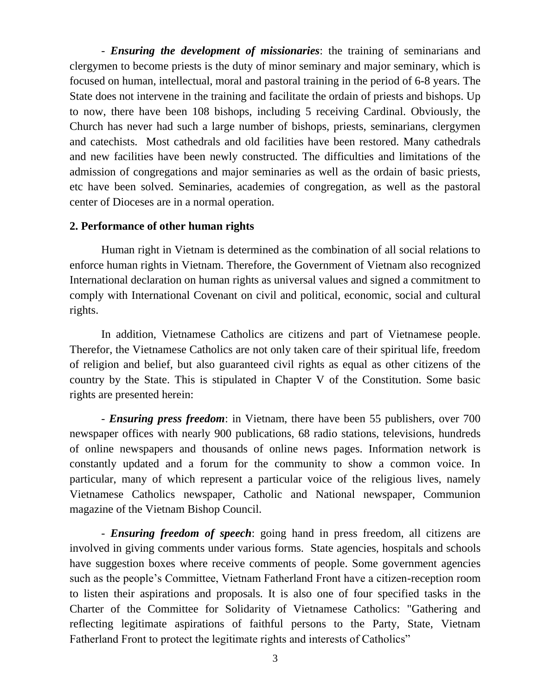- *Ensuring the development of missionaries*: the training of seminarians and clergymen to become priests is the duty of minor seminary and major seminary, which is focused on human, intellectual, moral and pastoral training in the period of 6-8 years. The State does not intervene in the training and facilitate the ordain of priests and bishops. Up to now, there have been 108 bishops, including 5 receiving Cardinal. Obviously, the Church has never had such a large number of bishops, priests, seminarians, clergymen and catechists. Most cathedrals and old facilities have been restored. Many cathedrals and new facilities have been newly constructed. The difficulties and limitations of the admission of congregations and major seminaries as well as the ordain of basic priests, etc have been solved. Seminaries, academies of congregation, as well as the pastoral center of Dioceses are in a normal operation.

## **2. Performance of other human rights**

Human right in Vietnam is determined as the combination of all social relations to enforce human rights in Vietnam. Therefore, the Government of Vietnam also recognized International declaration on human rights as universal values and signed a commitment to comply with International Covenant on civil and political, economic, social and cultural rights.

In addition, Vietnamese Catholics are citizens and part of Vietnamese people. Therefor, the Vietnamese Catholics are not only taken care of their spiritual life, freedom of religion and belief, but also guaranteed civil rights as equal as other citizens of the country by the State. This is stipulated in Chapter V of the Constitution. Some basic rights are presented herein:

- *Ensuring press freedom*: in Vietnam, there have been 55 publishers, over 700 newspaper offices with nearly 900 publications, 68 radio stations, televisions, hundreds of online newspapers and thousands of online news pages. Information network is constantly updated and a forum for the community to show a common voice. In particular, many of which represent a particular voice of the religious lives, namely Vietnamese Catholics newspaper, Catholic and National newspaper, Communion magazine of the Vietnam Bishop Council.

- *Ensuring freedom of speech*: going hand in press freedom, all citizens are involved in giving comments under various forms. State agencies, hospitals and schools have suggestion boxes where receive comments of people. Some government agencies such as the people's Committee, Vietnam Fatherland Front have a citizen-reception room to listen their aspirations and proposals. It is also one of four specified tasks in the Charter of the Committee for Solidarity of Vietnamese Catholics: "Gathering and reflecting legitimate aspirations of faithful persons to the Party, State, Vietnam Fatherland Front to protect the legitimate rights and interests of Catholics"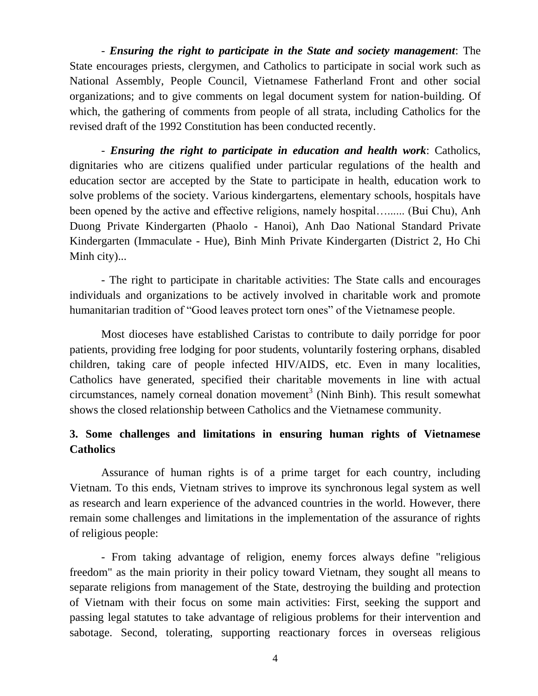- *Ensuring the right to participate in the State and society management*: The State encourages priests, clergymen, and Catholics to participate in social work such as National Assembly, People Council, Vietnamese Fatherland Front and other social organizations; and to give comments on legal document system for nation-building. Of which, the gathering of comments from people of all strata, including Catholics for the revised draft of the 1992 Constitution has been conducted recently.

- *Ensuring the right to participate in education and health work*: Catholics, dignitaries who are citizens qualified under particular regulations of the health and education sector are accepted by the State to participate in health, education work to solve problems of the society. Various kindergartens, elementary schools, hospitals have been opened by the active and effective religions, namely hospital…...... (Bui Chu), Anh Duong Private Kindergarten (Phaolo - Hanoi), Anh Dao National Standard Private Kindergarten (Immaculate - Hue), Binh Minh Private Kindergarten (District 2, Ho Chi Minh city)...

- The right to participate in charitable activities: The State calls and encourages individuals and organizations to be actively involved in charitable work and promote humanitarian tradition of "Good leaves protect torn ones" of the Vietnamese people.

Most dioceses have established Caristas to contribute to daily porridge for poor patients, providing free lodging for poor students, voluntarily fostering orphans, disabled children, taking care of people infected HIV/AIDS, etc. Even in many localities, Catholics have generated, specified their charitable movements in line with actual  $circumstances, namely corneal *donation movement*<sup>3</sup> (Ninh Binh). This result somewhat$ shows the closed relationship between Catholics and the Vietnamese community.

# **3. Some challenges and limitations in ensuring human rights of Vietnamese Catholics**

Assurance of human rights is of a prime target for each country, including Vietnam. To this ends, Vietnam strives to improve its synchronous legal system as well as research and learn experience of the advanced countries in the world. However, there remain some challenges and limitations in the implementation of the assurance of rights of religious people:

- From taking advantage of religion, enemy forces always define "religious freedom" as the main priority in their policy toward Vietnam, they sought all means to separate religions from management of the State, destroying the building and protection of Vietnam with their focus on some main activities: First, seeking the support and passing legal statutes to take advantage of religious problems for their intervention and sabotage. Second, tolerating, supporting reactionary forces in overseas religious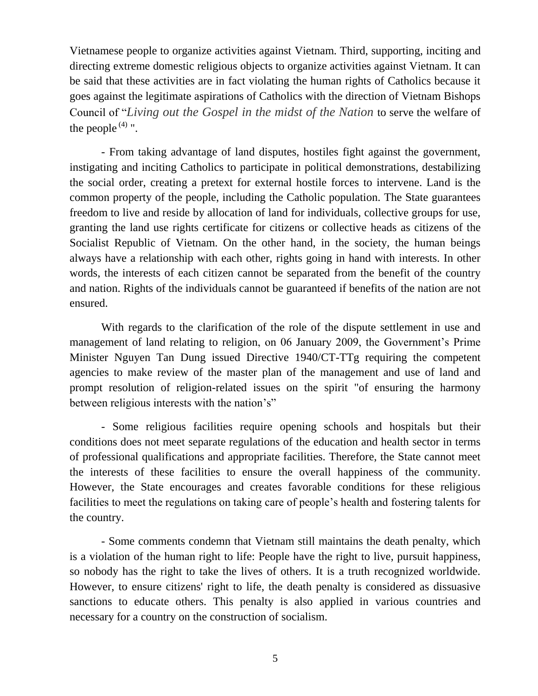Vietnamese people to organize activities against Vietnam. Third, supporting, inciting and directing extreme domestic religious objects to organize activities against Vietnam. It can be said that these activities are in fact violating the human rights of Catholics because it goes against the legitimate aspirations of Catholics with the direction of Vietnam Bishops Council of "*Living out the Gospel in the midst of the Nation* to serve the welfare of the people  $(4)$  ".

- From taking advantage of land disputes, hostiles fight against the government, instigating and inciting Catholics to participate in political demonstrations, destabilizing the social order, creating a pretext for external hostile forces to intervene. Land is the common property of the people, including the Catholic population. The State guarantees freedom to live and reside by allocation of land for individuals, collective groups for use, granting the land use rights certificate for citizens or collective heads as citizens of the Socialist Republic of Vietnam. On the other hand, in the society, the human beings always have a relationship with each other, rights going in hand with interests. In other words, the interests of each citizen cannot be separated from the benefit of the country and nation. Rights of the individuals cannot be guaranteed if benefits of the nation are not ensured.

With regards to the clarification of the role of the dispute settlement in use and management of land relating to religion, on 06 January 2009, the Government's Prime Minister Nguyen Tan Dung issued Directive 1940/CT-TTg requiring the competent agencies to make review of the master plan of the management and use of land and prompt resolution of religion-related issues on the spirit "of ensuring the harmony between religious interests with the nation's"

- Some religious facilities require opening schools and hospitals but their conditions does not meet separate regulations of the education and health sector in terms of professional qualifications and appropriate facilities. Therefore, the State cannot meet the interests of these facilities to ensure the overall happiness of the community. However, the State encourages and creates favorable conditions for these religious facilities to meet the regulations on taking care of people's health and fostering talents for the country.

- Some comments condemn that Vietnam still maintains the death penalty, which is a violation of the human right to life: People have the right to live, pursuit happiness, so nobody has the right to take the lives of others. It is a truth recognized worldwide. However, to ensure citizens' right to life, the death penalty is considered as dissuasive sanctions to educate others. This penalty is also applied in various countries and necessary for a country on the construction of socialism.